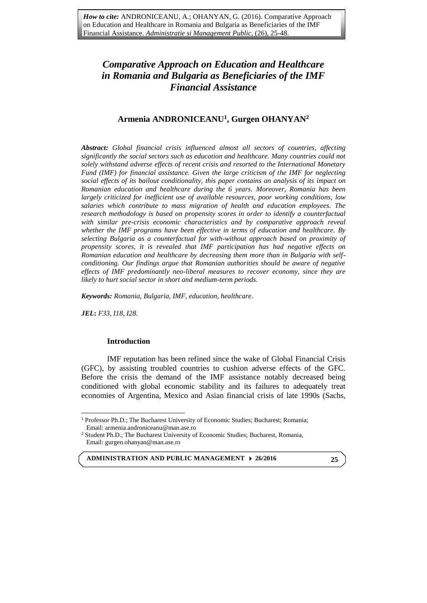# **Armenia ANDRONICEANU<sup>1</sup> , Gurgen OHANYAN<sup>2</sup>**

*Abstract: Global financial crisis influenced almost all sectors of countries, affecting significantly the social sectors such as education and healthcare. Many countries could not solely withstand adverse effects of recent crisis and resorted to the International Monetary Fund (IMF) for financial assistance. Given the large criticism of the IMF for neglecting social effects of its bailout conditionality, this paper contains an analysis of its impact on Romanian education and healthcare during the 6 years. Moreover, Romania has been largely criticized for inefficient use of available resources, poor working conditions, low salaries which contribute to mass migration of health and education employees. The research methodology is based on propensity scores in order to identify a counterfactual*  with similar pre-crisis economic characteristics and by comparative approach reveal *whether the IMF programs have been effective in terms of education and healthcare. By selecting Bulgaria as a counterfactual for with-without approach based on proximity of propensity scores, it is revealed that IMF participation has had negative effects on Romanian education and healthcare by decreasing them more than in Bulgaria with selfconditioning. Our findings argue that Romanian authorities should be aware of negative effects of IMF predominantly neo-liberal measures to recover economy, since they are likely to hurt social sector in short and medium-term periods.*

*Keywords: Romania, Bulgaria, IMF, education, healthcare.*

*JEL***:** *F33, I18, I28.*

 $\overline{a}$ 

#### **Introduction**

IMF reputation has been refined since the wake of Global Financial Crisis (GFC), by assisting troubled countries to cushion adverse effects of the GFC. Before the crisis the demand of the IMF assistance notably decreased being conditioned with global economic stability and its failures to adequately treat economies of Argentina, Mexico and Asian financial crisis of late 1990s (Sachs,

**ADMINISTRATION AND PUBLIC MANAGEMENT 26/2016**

<sup>&</sup>lt;sup>1</sup> Professor Ph.D.; The Bucharest University of Economic Studies; Bucharest; Romania; Email: armenia.androniceanu@man.ase.ro

<sup>2</sup> Student Ph.D.; The Bucharest University of Economic Studies; Bucharest, Romania, Email: gurgen.ohanyan@man.ase.ro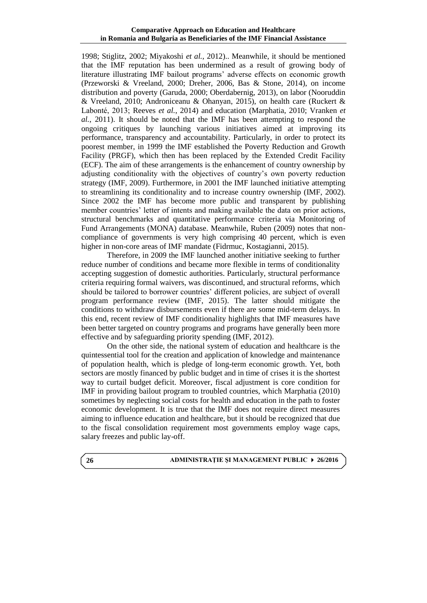1998; Stiglitz, 2002; Miyakoshi *et al.*, 2012).. Meanwhile, it should be mentioned that the IMF reputation has been undermined as a result of growing body of literature illustrating IMF bailout programs' adverse effects on economic growth (Przeworski & Vreeland, 2000; Dreher, 2006, Bas & Stone, 2014), on income distribution and poverty (Garuda, 2000; Oberdabernig, 2013), on labor (Nooruddin & Vreeland, 2010; Androniceanu & Ohanyan, 2015), on health care (Ruckert & Labonté, 2013; Reeves *et al.*, 2014) and education (Marphatia, 2010; Vranken *et al.*, 2011). It should be noted that the IMF has been attempting to respond the ongoing critiques by launching various initiatives aimed at improving its performance, transparency and accountability. Particularly, in order to protect its poorest member, in 1999 the IMF established the Poverty Reduction and Growth Facility (PRGF), which then has been replaced by the Extended Credit Facility (ECF). The aim of these arrangements is the enhancement of country ownership by adjusting conditionality with the objectives of country's own poverty reduction strategy (IMF, 2009). Furthermore, in 2001 the IMF launched initiative attempting to streamlining its conditionality and to increase country ownership (IMF, 2002). Since 2002 the IMF has become more public and transparent by publishing member countries' letter of intents and making available the data on prior actions, structural benchmarks and quantitative performance criteria via Monitoring of Fund Arrangements (MONA) database. Meanwhile, Ruben (2009) notes that noncompliance of governments is very high comprising 40 percent, which is even higher in non-core areas of IMF mandate (Fidrmuc, Kostagianni, 2015).

Therefore, in 2009 the IMF launched another initiative seeking to further reduce number of conditions and became more flexible in terms of conditionality accepting suggestion of domestic authorities. Particularly, structural performance criteria requiring formal waivers, was discontinued, and structural reforms, which should be tailored to borrower countries' different policies, are subject of overall program performance review (IMF, 2015). The latter should mitigate the conditions to withdraw disbursements even if there are some mid-term delays. In this end, recent review of IMF conditionality highlights that IMF measures have been better targeted on country programs and programs have generally been more effective and by safeguarding priority spending (IMF, 2012).

On the other side, the national system of education and healthcare is the quintessential tool for the creation and application of knowledge and maintenance of population health, which is pledge of long-term economic growth. Yet, both sectors are mostly financed by public budget and in time of crises it is the shortest way to curtail budget deficit. Moreover, fiscal adjustment is core condition for IMF in providing bailout program to troubled countries, which Marphatia (2010) sometimes by neglecting social costs for health and education in the path to foster economic development. It is true that the IMF does not require direct measures aiming to influence education and healthcare, but it should be recognized that due to the fiscal consolidation requirement most governments employ wage caps, salary freezes and public lay-off.

#### **ADMINISTRAŢIE ŞI MANAGEMENT PUBLIC 26/2016**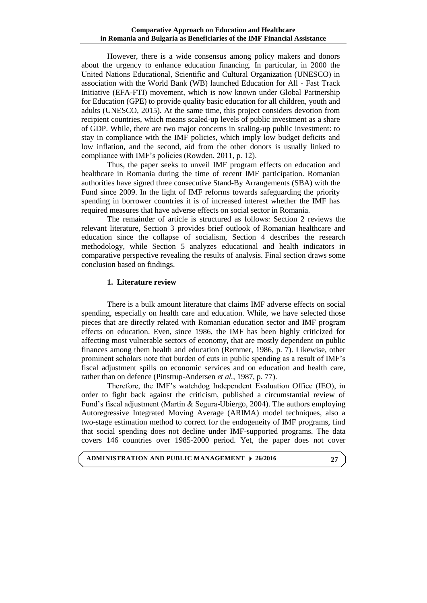However, there is a wide consensus among policy makers and donors about the urgency to enhance education financing. In particular, in 2000 the United Nations Educational, Scientific and Cultural Organization (UNESCO) in association with the World Bank (WB) launched Education for All - Fast Track Initiative (EFA-FTI) movement, which is now known under Global Partnership for Education (GPE) to provide quality basic education for all children, youth and adults (UNESCO, 2015). At the same time, this project considers devotion from recipient countries, which means scaled-up levels of public investment as a share of GDP. While, there are two major concerns in scaling-up public investment: to stay in compliance with the IMF policies, which imply low budget deficits and low inflation, and the second, aid from the other donors is usually linked to compliance with IMF's policies (Rowden, 2011, p. 12).

Thus, the paper seeks to unveil IMF program effects on education and healthcare in Romania during the time of recent IMF participation. Romanian authorities have signed three consecutive Stand-By Arrangements (SBA) with the Fund since 2009. In the light of IMF reforms towards safeguarding the priority spending in borrower countries it is of increased interest whether the IMF has required measures that have adverse effects on social sector in Romania.

The remainder of article is structured as follows: Section 2 reviews the relevant literature, Section 3 provides brief outlook of Romanian healthcare and education since the collapse of socialism, Section 4 describes the research methodology, while Section 5 analyzes educational and health indicators in comparative perspective revealing the results of analysis. Final section draws some conclusion based on findings.

## **1. Literature review**

There is a bulk amount literature that claims IMF adverse effects on social spending, especially on health care and education. While, we have selected those pieces that are directly related with Romanian education sector and IMF program effects on education. Even, since 1986, the IMF has been highly criticized for affecting most vulnerable sectors of economy, that are mostly dependent on public finances among them health and education (Remmer, 1986, p. 7). Likewise, other prominent scholars note that burden of cuts in public spending as a result of IMF's fiscal adjustment spills on economic services and on education and health care, rather than on defence (Pinstrup-Andersen *et al.*, 1987, p. 77).

Therefore, the IMF's watchdog Independent Evaluation Office (IEO), in order to fight back against the criticism, published a circumstantial review of Fund's fiscal adjustment (Martin & Segura-Ubiergo, 2004). The authors employing Autoregressive Integrated Moving Average (ARIMA) model techniques, also a two-stage estimation method to correct for the endogeneity of IMF programs, find that social spending does not decline under IMF-supported programs. The data covers 146 countries over 1985-2000 period. Yet, the paper does not cover

**ADMINISTRATION AND PUBLIC MANAGEMENT 26/2016**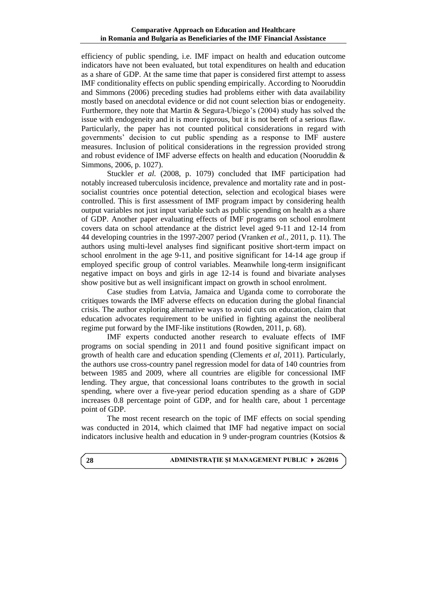efficiency of public spending, i.e. IMF impact on health and education outcome indicators have not been evaluated, but total expenditures on health and education as a share of GDP. At the same time that paper is considered first attempt to assess IMF conditionality effects on public spending empirically. According to Nooruddin and Simmons (2006) preceding studies had problems either with data availability mostly based on anecdotal evidence or did not count selection bias or endogeneity. Furthermore, they note that Martin & Segura-Ubiego's (2004) study has solved the issue with endogeneity and it is more rigorous, but it is not bereft of a serious flaw. Particularly, the paper has not counted political considerations in regard with governments' decision to cut public spending as a response to IMF austere measures. Inclusion of political considerations in the regression provided strong and robust evidence of IMF adverse effects on health and education (Nooruddin & Simmons, 2006, p. 1027).

Stuckler *et al.* (2008, p. 1079) concluded that IMF participation had notably increased tuberculosis incidence, prevalence and mortality rate and in postsocialist countries once potential detection, selection and ecological biases were controlled. This is first assessment of IMF program impact by considering health output variables not just input variable such as public spending on health as a share of GDP. Another paper evaluating effects of IMF programs on school enrolment covers data on school attendance at the district level aged 9-11 and 12-14 from 44 developing countries in the 1997-2007 period (Vranken *et al.,* 2011, p. 11). The authors using multi-level analyses find significant positive short-term impact on school enrolment in the age 9-11, and positive significant for 14-14 age group if employed specific group of control variables. Meanwhile long-term insignificant negative impact on boys and girls in age 12-14 is found and bivariate analyses show positive but as well insignificant impact on growth in school enrolment.

Case studies from Latvia, Jamaica and Uganda come to corroborate the critiques towards the IMF adverse effects on education during the global financial crisis. The author exploring alternative ways to avoid cuts on education, claim that education advocates requirement to be unified in fighting against the neoliberal regime put forward by the IMF-like institutions (Rowden, 2011, p. 68).

IMF experts conducted another research to evaluate effects of IMF programs on social spending in 2011 and found positive significant impact on growth of health care and education spending (Clements *et al*, 2011). Particularly, the authors use cross-country panel regression model for data of 140 countries from between 1985 and 2009, where all countries are eligible for concessional IMF lending. They argue, that concessional loans contributes to the growth in social spending, where over a five-year period education spending as a share of GDP increases 0.8 percentage point of GDP, and for health care, about 1 percentage point of GDP.

The most recent research on the topic of IMF effects on social spending was conducted in 2014, which claimed that IMF had negative impact on social indicators inclusive health and education in 9 under-program countries (Kotsios &

#### **ADMINISTRAŢIE ŞI MANAGEMENT PUBLIC 26/2016**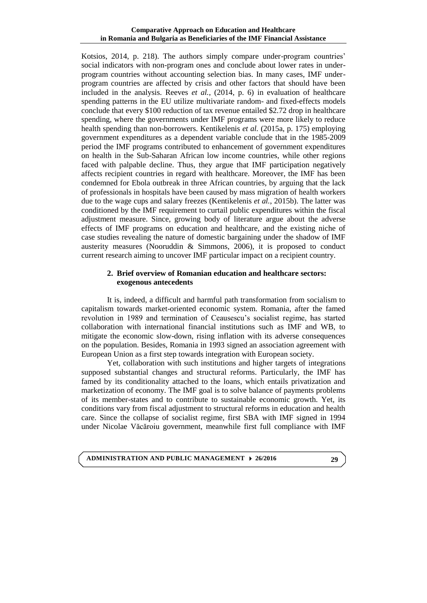Kotsios, 2014, p. 218). The authors simply compare under-program countries' social indicators with non-program ones and conclude about lower rates in underprogram countries without accounting selection bias. In many cases, IMF underprogram countries are affected by crisis and other factors that should have been included in the analysis. Reeves *et al.*, (2014, p. 6) in evaluation of healthcare spending patterns in the EU utilize multivariate random- and fixed-effects models conclude that every \$100 reduction of tax revenue entailed \$2.72 drop in healthcare spending, where the governments under IMF programs were more likely to reduce health spending than non-borrowers. Kentikelenis *et al.* (2015a, p. 175) employing government expenditures as a dependent variable conclude that in the 1985-2009 period the IMF programs contributed to enhancement of government expenditures on health in the Sub-Saharan African low income countries, while other regions faced with palpable decline. Thus, they argue that IMF participation negatively affects recipient countries in regard with healthcare. Moreover, the IMF has been condemned for Ebola outbreak in three African countries, by arguing that the lack of professionals in hospitals have been caused by mass migration of health workers due to the wage cups and salary freezes (Kentikelenis *et al.*, 2015b). The latter was conditioned by the IMF requirement to curtail public expenditures within the fiscal adjustment measure. Since, growing body of literature argue about the adverse effects of IMF programs on education and healthcare, and the existing niche of case studies revealing the nature of domestic bargaining under the shadow of IMF austerity measures (Nooruddin & Simmons, 2006), it is proposed to conduct current research aiming to uncover IMF particular impact on a recipient country.

# **2. Brief overview of Romanian education and healthcare sectors: exogenous antecedents**

It is, indeed, a difficult and harmful path transformation from socialism to capitalism towards market-oriented economic system. Romania, after the famed revolution in 1989 and termination of Ceausescu's socialist regime, has started collaboration with international financial institutions such as IMF and WB, to mitigate the economic slow-down, rising inflation with its adverse consequences on the population. Besides, Romania in 1993 signed an association agreement with European Union as a first step towards integration with European society.

Yet, collaboration with such institutions and higher targets of integrations supposed substantial changes and structural reforms. Particularly, the IMF has famed by its conditionality attached to the loans, which entails privatization and marketization of economy. The IMF goal is to solve balance of payments problems of its member-states and to contribute to sustainable economic growth. Yet, its conditions vary from fiscal adjustment to structural reforms in education and health care. Since the collapse of socialist regime, first SBA with IMF signed in 1994 under Nicolae Văcăroiu government, meanwhile first full compliance with IMF

# **ADMINISTRATION AND PUBLIC MANAGEMENT 26/2016**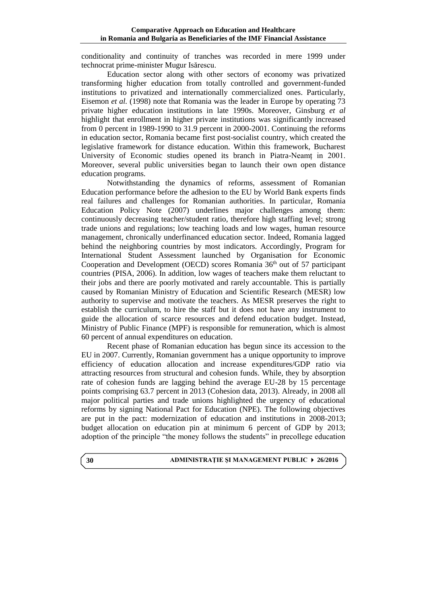conditionality and continuity of tranches was recorded in mere 1999 under technocrat prime-minister Mugur Isărescu.

Education sector along with other sectors of economy was privatized transforming higher education from totally controlled and government-funded institutions to privatized and internationally commercialized ones. Particularly, Eisemon *et al.* (1998) note that Romania was the leader in Europe by operating 73 private higher education institutions in late 1990s. Moreover, Ginsburg *et al*  highlight that enrollment in higher private institutions was significantly increased from 0 percent in 1989-1990 to 31.9 percent in 2000-2001. Continuing the reforms in education sector, Romania became first post-socialist country, which created the legislative framework for distance education. Within this framework, Bucharest University of Economic studies opened its branch in Piatra-Neamț in 2001. Moreover, several public universities began to launch their own open distance education programs.

Notwithstanding the dynamics of reforms, assessment of Romanian Education performance before the adhesion to the EU by World Bank experts finds real failures and challenges for Romanian authorities. In particular, Romania Education Policy Note (2007) underlines major challenges among them: continuously decreasing teacher/student ratio, therefore high staffing level; strong trade unions and regulations; low teaching loads and low wages, human resource management, chronically underfinanced education sector. Indeed, Romania lagged behind the neighboring countries by most indicators. Accordingly, Program for International Student Assessment launched by Organisation for Economic Cooperation and Development (OECD) scores Romania 36<sup>th</sup> out of 57 participant countries (PISA, 2006). In addition, low wages of teachers make them reluctant to their jobs and there are poorly motivated and rarely accountable. This is partially caused by Romanian Ministry of Education and Scientific Research (MESR) low authority to supervise and motivate the teachers. As MESR preserves the right to establish the curriculum, to hire the staff but it does not have any instrument to guide the allocation of scarce resources and defend education budget. Instead, Ministry of Public Finance (MPF) is responsible for remuneration, which is almost 60 percent of annual expenditures on education.

Recent phase of Romanian education has begun since its accession to the EU in 2007. Currently, Romanian government has a unique opportunity to improve efficiency of education allocation and increase expenditures/GDP ratio via attracting resources from structural and cohesion funds. While, they by absorption rate of cohesion funds are lagging behind the average EU-28 by 15 percentage points comprising 63.7 percent in 2013 (Cohesion data, 2013). Already, in 2008 all major political parties and trade unions highlighted the urgency of educational reforms by signing National Pact for Education (NPE). The following objectives are put in the pact: modernization of education and institutions in 2008-2013; budget allocation on education pin at minimum 6 percent of GDP by 2013; adoption of the principle "the money follows the students" in precollege education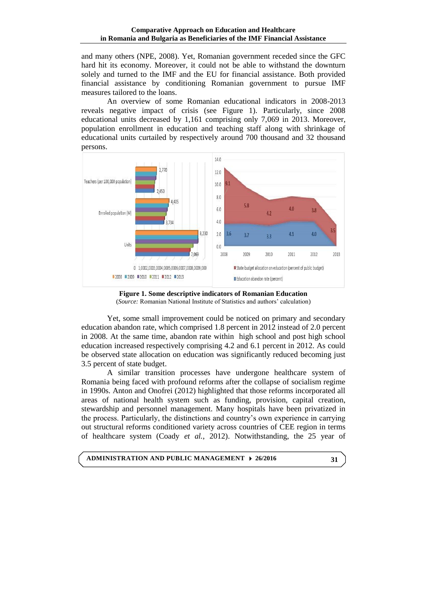and many others (NPE, 2008). Yet, Romanian government receded since the GFC hard hit its economy. Moreover, it could not be able to withstand the downturn solely and turned to the IMF and the EU for financial assistance. Both provided financial assistance by conditioning Romanian government to pursue IMF measures tailored to the loans.

An overview of some Romanian educational indicators in 2008-2013 reveals negative impact of crisis (see Figure 1). Particularly, since 2008 educational units decreased by 1,161 comprising only 7,069 in 2013. Moreover, population enrollment in education and teaching staff along with shrinkage of educational units curtailed by respectively around 700 thousand and 32 thousand persons.



**Figure 1. Some descriptive indicators of Romanian Education** (*Source:* Romanian National Institute of Statistics and authors' calculation)

Yet, some small improvement could be noticed on primary and secondary education abandon rate, which comprised 1.8 percent in 2012 instead of 2.0 percent in 2008. At the same time, abandon rate within high school and post high school education increased respectively comprising 4.2 and 6.1 percent in 2012. As could be observed state allocation on education was significantly reduced becoming just 3.5 percent of state budget.

A similar transition processes have undergone healthcare system of Romania being faced with profound reforms after the collapse of socialism regime in 1990s. Anton and Onofrei (2012) highlighted that those reforms incorporated all areas of national health system such as funding, provision, capital creation, stewardship and personnel management. Many hospitals have been privatized in the process. Particularly, the distinctions and country's own experience in carrying out structural reforms conditioned variety across countries of CEE region in terms of healthcare system (Coady *et al.*, 2012). Notwithstanding, the 25 year of

**ADMINISTRATION AND PUBLIC MANAGEMENT 26/2016**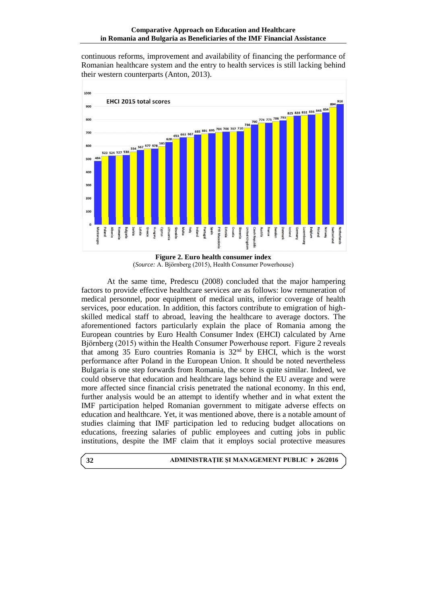continuous reforms, improvement and availability of financing the performance of Romanian healthcare system and the entry to health services is still lacking behind their western counterparts (Anton, 2013).



**Figure 2. Euro health consumer index** (*Source:* A. Björnberg (2015), Health Consumer Powerhouse)

At the same time, Predescu (2008) concluded that the major hampering factors to provide effective healthcare services are as follows: low remuneration of medical personnel, poor equipment of medical units, inferior coverage of health services, poor education. In addition, this factors contribute to emigration of highskilled medical staff to abroad, leaving the healthcare to average doctors. The aforementioned factors particularly explain the place of Romania among the European countries by Euro Health Consumer Index (EHCI) calculated by Arne Björnberg (2015) within the Health Consumer Powerhouse report. Figure 2 reveals that among 35 Euro countries Romania is 32nd by EHCI, which is the worst performance after Poland in the European Union. It should be noted nevertheless Bulgaria is one step forwards from Romania, the score is quite similar. Indeed, we could observe that education and healthcare lags behind the EU average and were more affected since financial crisis penetrated the national economy. In this end, further analysis would be an attempt to identify whether and in what extent the IMF participation helped Romanian government to mitigate adverse effects on education and healthcare. Yet, it was mentioned above, there is a notable amount of studies claiming that IMF participation led to reducing budget allocations on educations, freezing salaries of public employees and cutting jobs in public institutions, despite the IMF claim that it employs social protective measures

**32**

### **ADMINISTRAŢIE ŞI MANAGEMENT PUBLIC 26/2016**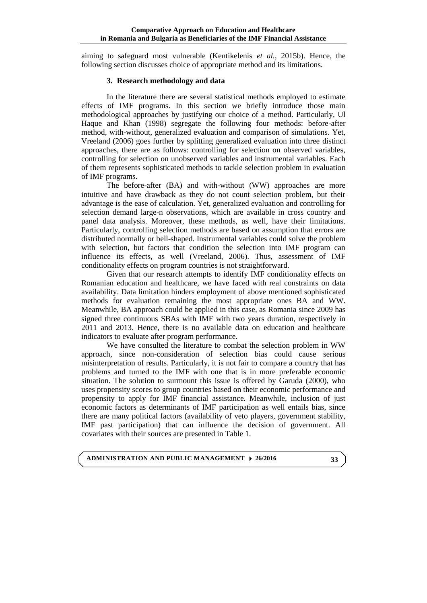aiming to safeguard most vulnerable (Kentikelenis *et al.*, 2015b). Hence, the following section discusses choice of appropriate method and its limitations.

## **3. Research methodology and data**

In the literature there are several statistical methods employed to estimate effects of IMF programs. In this section we briefly introduce those main methodological approaches by justifying our choice of a method. Particularly, Ul Haque and Khan (1998) segregate the following four methods: before-after method, with-without, generalized evaluation and comparison of simulations. Yet, Vreeland (2006) goes further by splitting generalized evaluation into three distinct approaches, there are as follows: controlling for selection on observed variables, controlling for selection on unobserved variables and instrumental variables. Each of them represents sophisticated methods to tackle selection problem in evaluation of IMF programs.

The before-after (BA) and with-without (WW) approaches are more intuitive and have drawback as they do not count selection problem, but their advantage is the ease of calculation. Yet, generalized evaluation and controlling for selection demand large-n observations, which are available in cross country and panel data analysis. Moreover, these methods, as well, have their limitations. Particularly, controlling selection methods are based on assumption that errors are distributed normally or bell-shaped. Instrumental variables could solve the problem with selection, but factors that condition the selection into IMF program can influence its effects, as well (Vreeland, 2006). Thus, assessment of IMF conditionality effects on program countries is not straightforward.

Given that our research attempts to identify IMF conditionality effects on Romanian education and healthcare, we have faced with real constraints on data availability. Data limitation hinders employment of above mentioned sophisticated methods for evaluation remaining the most appropriate ones BA and WW. Meanwhile, BA approach could be applied in this case, as Romania since 2009 has signed three continuous SBAs with IMF with two years duration, respectively in 2011 and 2013. Hence, there is no available data on education and healthcare indicators to evaluate after program performance.

We have consulted the literature to combat the selection problem in WW approach, since non-consideration of selection bias could cause serious misinterpretation of results. Particularly, it is not fair to compare a country that has problems and turned to the IMF with one that is in more preferable economic situation. The solution to surmount this issue is offered by Garuda (2000), who uses propensity scores to group countries based on their economic performance and propensity to apply for IMF financial assistance. Meanwhile, inclusion of just economic factors as determinants of IMF participation as well entails bias, since there are many political factors (availability of veto players, government stability, IMF past participation) that can influence the decision of government. All covariates with their sources are presented in Table 1.

# **ADMINISTRATION AND PUBLIC MANAGEMENT 26/2016**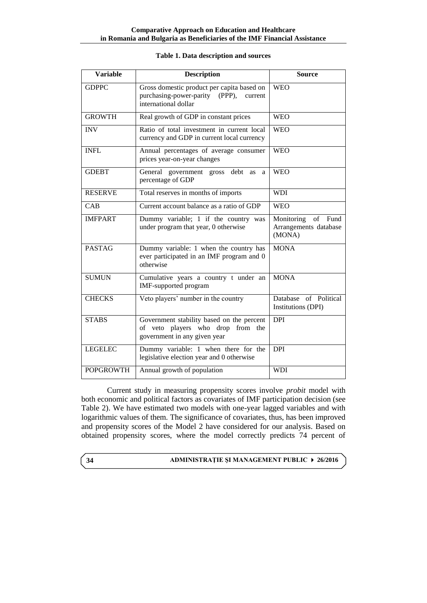### **Table 1. Data description and sources**

| <b>Variable</b>  | <b>Description</b>                                                                                              | <b>Source</b>                                            |
|------------------|-----------------------------------------------------------------------------------------------------------------|----------------------------------------------------------|
| <b>GDPPC</b>     | Gross domestic product per capita based on<br>purchasing-power-parity (PPP),<br>current<br>international dollar | <b>WEO</b>                                               |
| <b>GROWTH</b>    | Real growth of GDP in constant prices                                                                           | <b>WEO</b>                                               |
| <b>INV</b>       | Ratio of total investment in current local<br>currency and GDP in current local currency                        | <b>WEO</b>                                               |
| <b>INFL</b>      | Annual percentages of average consumer<br>prices year-on-year changes                                           | <b>WEO</b>                                               |
| <b>GDEBT</b>     | government<br>gross debt<br>General<br><b>as</b><br>a<br>percentage of GDP                                      | <b>WEO</b>                                               |
| <b>RESERVE</b>   | Total reserves in months of imports                                                                             | <b>WDI</b>                                               |
| CAB              | Current account balance as a ratio of GDP                                                                       | <b>WEO</b>                                               |
| <b>IMFPART</b>   | Dummy variable; 1 if the country was<br>under program that year, 0 otherwise                                    | Monitoring<br>of Fund<br>Arrangements database<br>(MONA) |
| <b>PASTAG</b>    | Dummy variable: 1 when the country has<br>ever participated in an IMF program and 0<br>otherwise                | <b>MONA</b>                                              |
| <b>SUMUN</b>     | Cumulative years a country t under an<br>IMF-supported program                                                  | <b>MONA</b>                                              |
| <b>CHECKS</b>    | Veto players' number in the country                                                                             | Database of Political<br>Institutions (DPI)              |
| <b>STABS</b>     | Government stability based on the percent<br>of veto players who drop from the<br>government in any given year  | <b>DPI</b>                                               |
| <b>LEGELEC</b>   | Dummy variable: 1 when there for the<br>legislative election year and 0 otherwise                               | <b>DPI</b>                                               |
| <b>POPGROWTH</b> | Annual growth of population                                                                                     | <b>WDI</b>                                               |

Current study in measuring propensity scores involve *probit* model with both economic and political factors as covariates of IMF participation decision (see Table 2). We have estimated two models with one-year lagged variables and with logarithmic values of them. The significance of covariates, thus, has been improved and propensity scores of the Model 2 have considered for our analysis. Based on obtained propensity scores, where the model correctly predicts 74 percent of

#### **ADMINISTRAŢIE ŞI MANAGEMENT PUBLIC 26/2016**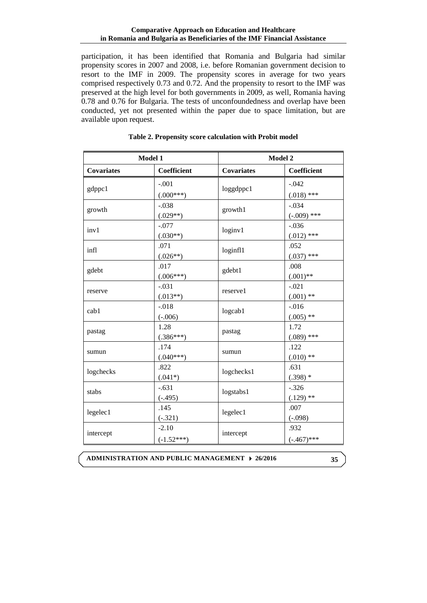participation, it has been identified that Romania and Bulgaria had similar propensity scores in 2007 and 2008, i.e. before Romanian government decision to resort to the IMF in 2009. The propensity scores in average for two years comprised respectively 0.73 and 0.72. And the propensity to resort to the IMF was preserved at the high level for both governments in 2009, as well, Romania having 0.78 and 0.76 for Bulgaria. The tests of unconfoundedness and overlap have been conducted, yet not presented within the paper due to space limitation, but are available upon request.

| Model 1           |              |                   | Model 2       |  |  |
|-------------------|--------------|-------------------|---------------|--|--|
| <b>Covariates</b> | Coefficient  | <b>Covariates</b> | Coefficient   |  |  |
|                   | $-.001$      |                   | $-.042$       |  |  |
| gdppc1            | $(.000***)$  | loggdppc1         | $(.018)$ ***  |  |  |
| growth            | $-.038$      | growth1           | $-.034$       |  |  |
|                   | $(.029**)$   |                   | $(-.009)$ *** |  |  |
| inv1              | $-.077$      | loginv1           | $-0.036$      |  |  |
|                   | $(.030**)$   |                   | $(.012)$ ***  |  |  |
| infl              | .071         | loginf11          | .052          |  |  |
|                   | $(.026**)$   |                   | $(.037)$ ***  |  |  |
| gdebt             | .017         | gdebt1            | .008          |  |  |
|                   | $(.006***)$  |                   | $(.001)$ **   |  |  |
| reserve           | $-.031$      | reserve1          | $-.021$       |  |  |
|                   | $(.013**)$   |                   | $(.001)$ **   |  |  |
| cab1              | $-.018$      | logcab1           | $-0.016$      |  |  |
|                   | $(-.006)$    |                   | $(.005)$ **   |  |  |
| pastag            | 1.28         | pastag            | 1.72          |  |  |
|                   | $(.386***)$  |                   | $(.089)$ ***  |  |  |
| sumun             | .174         | sumun             | .122          |  |  |
|                   | $(.040***)$  |                   | $(.010)$ **   |  |  |
| logchecks         | .822         | logchecks1        | .631          |  |  |
|                   | $(.041*)$    |                   | $(.398)$ *    |  |  |
| stabs             | $-.631$      | logstabs1         | $-.326$       |  |  |
|                   | $(-.495)$    |                   | $(.129)$ **   |  |  |
| legelec1          | .145         | legelec1          | .007          |  |  |
|                   | $(-.321)$    |                   | $(-.098)$     |  |  |
| intercept         | $-2.10$      | intercept         | .932          |  |  |
|                   | $(-1.52***)$ |                   | $(-.467)$ *** |  |  |

## **Table 2. Propensity score calculation with Probit model**

**ADMINISTRATION AND PUBLIC MANAGEMENT 26/2016**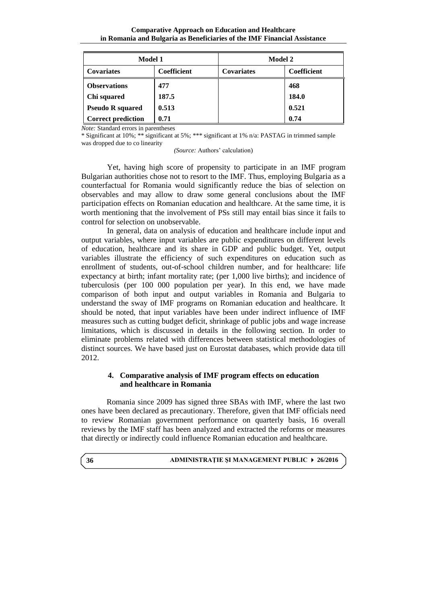**Comparative Approach on Education and Healthcare in Romania and Bulgaria as Beneficiaries of the IMF Financial Assistance**

| <b>Model 1</b>            |                    | <b>Model 2</b>                   |       |  |
|---------------------------|--------------------|----------------------------------|-------|--|
| <b>Covariates</b>         | <b>Coefficient</b> | Coefficient<br><b>Covariates</b> |       |  |
| <b>Observations</b>       | 477                |                                  | 468   |  |
| Chi squared               | 187.5              |                                  | 184.0 |  |
| <b>Pseudo R squared</b>   | 0.513              |                                  | 0.521 |  |
| <b>Correct prediction</b> | 0.71               | 0.74                             |       |  |

*Note:* Standard errors in parentheses

\* Significant at 10%; \*\* significant at 5%; \*\*\* significant at 1% n/a: PASTAG in trimmed sample was dropped due to co linearity

*(Source:* Authors' calculation)

Yet, having high score of propensity to participate in an IMF program Bulgarian authorities chose not to resort to the IMF. Thus, employing Bulgaria as a counterfactual for Romania would significantly reduce the bias of selection on observables and may allow to draw some general conclusions about the IMF participation effects on Romanian education and healthcare. At the same time, it is worth mentioning that the involvement of PSs still may entail bias since it fails to control for selection on unobservable.

In general, data on analysis of education and healthcare include input and output variables, where input variables are public expenditures on different levels of education, healthcare and its share in GDP and public budget. Yet, output variables illustrate the efficiency of such expenditures on education such as enrollment of students, out-of-school children number, and for healthcare: life expectancy at birth; infant mortality rate; (per 1,000 live births); and incidence of tuberculosis (per 100 000 population per year). In this end, we have made comparison of both input and output variables in Romania and Bulgaria to understand the sway of IMF programs on Romanian education and healthcare. It should be noted, that input variables have been under indirect influence of IMF measures such as cutting budget deficit, shrinkage of public jobs and wage increase limitations, which is discussed in details in the following section. In order to eliminate problems related with differences between statistical methodologies of distinct sources. We have based just on Eurostat databases, which provide data till 2012.

## **4. Comparative analysis of IMF program effects on education and healthcare in Romania**

Romania since 2009 has signed three SBAs with IMF, where the last two ones have been declared as precautionary. Therefore, given that IMF officials need to review Romanian government performance on quarterly basis, 16 overall reviews by the IMF staff has been analyzed and extracted the reforms or measures that directly or indirectly could influence Romanian education and healthcare.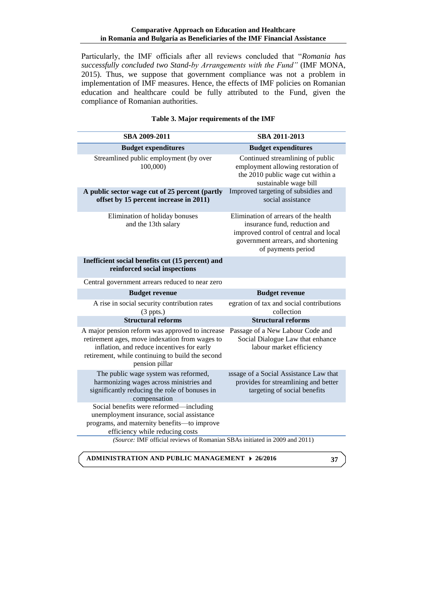Particularly, the IMF officials after all reviews concluded that "*Romania has successfully concluded two Stand-by Arrangements with the Fund"* (IMF MONA, 2015). Thus, we suppose that government compliance was not a problem in implementation of IMF measures. Hence, the effects of IMF policies on Romanian education and healthcare could be fully attributed to the Fund, given the compliance of Romanian authorities.

### **Table 3. Major requirements of the IMF**

| SBA 2009-2011                                                                                                                                                                                                                                        | SBA 2011-2013                                                                                                                                                              |
|------------------------------------------------------------------------------------------------------------------------------------------------------------------------------------------------------------------------------------------------------|----------------------------------------------------------------------------------------------------------------------------------------------------------------------------|
| <b>Budget expenditures</b>                                                                                                                                                                                                                           | <b>Budget expenditures</b>                                                                                                                                                 |
| Streamlined public employment (by over<br>100,000                                                                                                                                                                                                    | Continued streamlining of public<br>employment allowing restoration of<br>the 2010 public wage cut within a<br>sustainable wage bill                                       |
| A public sector wage cut of 25 percent (partly<br>offset by 15 percent increase in 2011)                                                                                                                                                             | Improved targeting of subsidies and<br>social assistance                                                                                                                   |
| Elimination of holiday bonuses<br>and the 13th salary                                                                                                                                                                                                | Elimination of arrears of the health<br>insurance fund, reduction and<br>improved control of central and local<br>government arrears, and shortening<br>of payments period |
| Inefficient social benefits cut (15 percent) and<br>reinforced social inspections                                                                                                                                                                    |                                                                                                                                                                            |
| Central government arrears reduced to near zero                                                                                                                                                                                                      |                                                                                                                                                                            |
| <b>Budget revenue</b>                                                                                                                                                                                                                                | <b>Budget revenue</b>                                                                                                                                                      |
| A rise in social security contribution rates<br>$(3$ ppts.)                                                                                                                                                                                          | egration of tax and social contributions<br>collection                                                                                                                     |
| <b>Structural reforms</b>                                                                                                                                                                                                                            | <b>Structural reforms</b>                                                                                                                                                  |
| A major pension reform was approved to increase<br>retirement ages, move indexation from wages to<br>inflation, and reduce incentives for early<br>retirement, while continuing to build the second<br>pension pillar                                | Passage of a New Labour Code and<br>Social Dialogue Law that enhance<br>labour market efficiency                                                                           |
| The public wage system was reformed,<br>harmonizing wages across ministries and<br>significantly reducing the role of bonuses in<br>compensation                                                                                                     | assage of a Social Assistance Law that<br>provides for streamlining and better<br>targeting of social benefits                                                             |
| Social benefits were reformed-including<br>unemployment insurance, social assistance<br>programs, and maternity benefits-to improve<br>efficiency while reducing costs<br>(Source: IMF official reviews of Romanian SBAs initiated in 2009 and 2011) |                                                                                                                                                                            |
|                                                                                                                                                                                                                                                      |                                                                                                                                                                            |

**ADMINISTRATION AND PUBLIC MANAGEMENT 26/2016**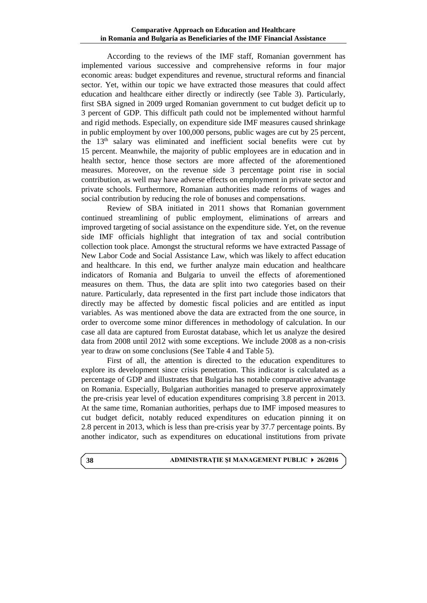According to the reviews of the IMF staff, Romanian government has implemented various successive and comprehensive reforms in four major economic areas: budget expenditures and revenue, structural reforms and financial sector. Yet, within our topic we have extracted those measures that could affect education and healthcare either directly or indirectly (see Table 3). Particularly, first SBA signed in 2009 urged Romanian government to cut budget deficit up to 3 percent of GDP. This difficult path could not be implemented without harmful and rigid methods. Especially, on expenditure side IMF measures caused shrinkage in public employment by over 100,000 persons, public wages are cut by 25 percent, the  $13<sup>th</sup>$  salary was eliminated and inefficient social benefits were cut by 15 percent. Meanwhile, the majority of public employees are in education and in health sector, hence those sectors are more affected of the aforementioned measures. Moreover, on the revenue side 3 percentage point rise in social contribution, as well may have adverse effects on employment in private sector and private schools. Furthermore, Romanian authorities made reforms of wages and social contribution by reducing the role of bonuses and compensations.

Review of SBA initiated in 2011 shows that Romanian government continued streamlining of public employment, eliminations of arrears and improved targeting of social assistance on the expenditure side. Yet, on the revenue side IMF officials highlight that integration of tax and social contribution collection took place. Amongst the structural reforms we have extracted Passage of New Labor Code and Social Assistance Law, which was likely to affect education and healthcare. In this end, we further analyze main education and healthcare indicators of Romania and Bulgaria to unveil the effects of aforementioned measures on them. Thus, the data are split into two categories based on their nature. Particularly, data represented in the first part include those indicators that directly may be affected by domestic fiscal policies and are entitled as input variables. As was mentioned above the data are extracted from the one source, in order to overcome some minor differences in methodology of calculation. In our case all data are captured from Eurostat database, which let us analyze the desired data from 2008 until 2012 with some exceptions. We include 2008 as a non-crisis year to draw on some conclusions (See Table 4 and Table 5).

First of all, the attention is directed to the education expenditures to explore its development since crisis penetration. This indicator is calculated as a percentage of GDP and illustrates that Bulgaria has notable comparative advantage on Romania. Especially, Bulgarian authorities managed to preserve approximately the pre-crisis year level of education expenditures comprising 3.8 percent in 2013. At the same time, Romanian authorities, perhaps due to IMF imposed measures to cut budget deficit, notably reduced expenditures on education pinning it on 2.8 percent in 2013, which is less than pre-crisis year by 37.7 percentage points. By another indicator, such as expenditures on educational institutions from private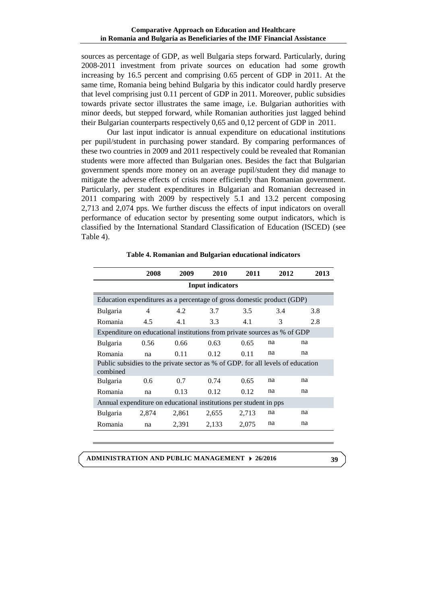sources as percentage of GDP, as well Bulgaria steps forward. Particularly, during 2008-2011 investment from private sources on education had some growth increasing by 16.5 percent and comprising 0.65 percent of GDP in 2011. At the same time, Romania being behind Bulgaria by this indicator could hardly preserve that level comprising just 0.11 percent of GDP in 2011. Moreover, public subsidies towards private sector illustrates the same image, i.e. Bulgarian authorities with minor deeds, but stepped forward, while Romanian authorities just lagged behind their Bulgarian counterparts respectively 0,65 and 0,12 percent of GDP in 2011.

Our last input indicator is annual expenditure on educational institutions per pupil/student in purchasing power standard. By comparing performances of these two countries in 2009 and 2011 respectively could be revealed that Romanian students were more affected than Bulgarian ones. Besides the fact that Bulgarian government spends more money on an average pupil/student they did manage to mitigate the adverse effects of crisis more efficiently than Romanian government. Particularly, per student expenditures in Bulgarian and Romanian decreased in 2011 comparing with 2009 by respectively 5.1 and 13.2 percent composing 2,713 and 2,074 pps. We further discuss the effects of input indicators on overall performance of education sector by presenting some output indicators, which is classified by the International Standard Classification of Education (ISCED) (see Table 4).

|                                                                          | 2008                                                                            | 2009  | 2010                    | 2011  | 2012 | 2013 |  |  |
|--------------------------------------------------------------------------|---------------------------------------------------------------------------------|-------|-------------------------|-------|------|------|--|--|
|                                                                          |                                                                                 |       | <b>Input indicators</b> |       |      |      |  |  |
|                                                                          | Education expenditures as a percentage of gross domestic product (GDP)          |       |                         |       |      |      |  |  |
| Bulgaria                                                                 | 4                                                                               | 4.2   | 3.7                     | 3.5   | 3.4  | 3.8  |  |  |
| Romania                                                                  | 4.5                                                                             | 4.1   | 3.3                     | 4.1   | 3    | 2.8  |  |  |
| Expenditure on educational institutions from private sources as % of GDP |                                                                                 |       |                         |       |      |      |  |  |
| <b>Bulgaria</b>                                                          | 0.56                                                                            | 0.66  | 0.63                    | 0.65  | na   | na   |  |  |
| Romania                                                                  | na                                                                              | 0.11  | 0.12                    | 0.11  | na   | na   |  |  |
| combined                                                                 | Public subsidies to the private sector as % of GDP. for all levels of education |       |                         |       |      |      |  |  |
| <b>Bulgaria</b>                                                          | 0.6                                                                             | 0.7   | 0.74                    | 0.65  | na   | na   |  |  |
| Romania                                                                  | na                                                                              | 0.13  | 0.12                    | 0.12  | na   | na   |  |  |
| Annual expenditure on educational institutions per student in pps        |                                                                                 |       |                         |       |      |      |  |  |
| <b>Bulgaria</b>                                                          | 2,874                                                                           | 2,861 | 2,655                   | 2,713 | na   | na   |  |  |
| Romania                                                                  | na                                                                              | 2,391 | 2,133                   | 2,075 | na   | na   |  |  |

**Table 4. Romanian and Bulgarian educational indicators**

### **ADMINISTRATION AND PUBLIC MANAGEMENT 26/2016**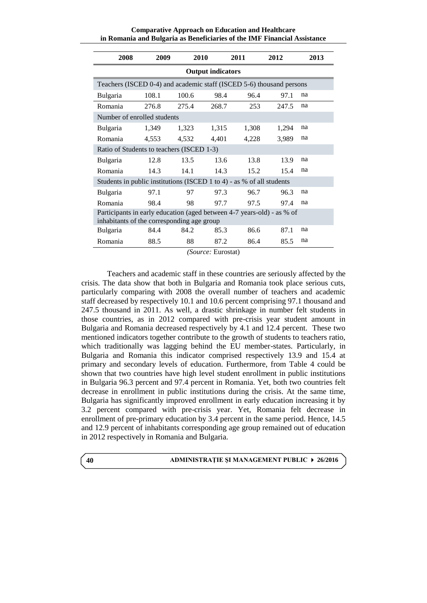**Comparative Approach on Education and Healthcare in Romania and Bulgaria as Beneficiaries of the IMF Financial Assistance**

| 2008                                                                                                                 | 2009  | 2010  |                          | 2011  | 2012  | 2013 |  |
|----------------------------------------------------------------------------------------------------------------------|-------|-------|--------------------------|-------|-------|------|--|
|                                                                                                                      |       |       | <b>Output indicators</b> |       |       |      |  |
| Teachers (ISCED 0-4) and academic staff (ISCED 5-6) thousand persons                                                 |       |       |                          |       |       |      |  |
| <b>Bulgaria</b>                                                                                                      | 108.1 | 100.6 | 98.4                     | 96.4  | 97.1  | na   |  |
| Romania                                                                                                              | 276.8 | 275.4 | 268.7                    | 253   | 247.5 | na   |  |
| Number of enrolled students                                                                                          |       |       |                          |       |       |      |  |
| <b>Bulgaria</b>                                                                                                      | 1,349 | 1,323 | 1,315                    | 1,308 | 1,294 | na   |  |
| Romania                                                                                                              | 4,553 | 4,532 | 4,401                    | 4,228 | 3,989 | na   |  |
| Ratio of Students to teachers (ISCED 1-3)                                                                            |       |       |                          |       |       |      |  |
| <b>Bulgaria</b>                                                                                                      | 12.8  | 13.5  | 13.6                     | 13.8  | 13.9  | na   |  |
| Romania                                                                                                              | 14.3  | 14.1  | 14.3                     | 15.2  | 15.4  | na   |  |
| Students in public institutions (ISCED 1 to 4) - as % of all students                                                |       |       |                          |       |       |      |  |
| <b>Bulgaria</b>                                                                                                      | 97.1  | 97    | 97.3                     | 96.7  | 96.3  | na   |  |
| Romania                                                                                                              | 98.4  | 98    | 97.7                     | 97.5  | 97.4  | na   |  |
| Participants in early education (aged between 4-7 years-old) - as % of<br>inhabitants of the corresponding age group |       |       |                          |       |       |      |  |
| <b>Bulgaria</b>                                                                                                      | 84.4  | 84.2  | 85.3                     | 86.6  | 87.1  | na   |  |
| Romania                                                                                                              | 88.5  | 88    | 87.2                     | 86.4  | 85.5  | na   |  |

*(Source:* Eurostat)

Teachers and academic staff in these countries are seriously affected by the crisis. The data show that both in Bulgaria and Romania took place serious cuts, particularly comparing with 2008 the overall number of teachers and academic staff decreased by respectively 10.1 and 10.6 percent comprising 97.1 thousand and 247.5 thousand in 2011. As well, a drastic shrinkage in number felt students in those countries, as in 2012 compared with pre-crisis year student amount in Bulgaria and Romania decreased respectively by 4.1 and 12.4 percent. These two mentioned indicators together contribute to the growth of students to teachers ratio, which traditionally was lagging behind the EU member-states. Particularly, in Bulgaria and Romania this indicator comprised respectively 13.9 and 15.4 at primary and secondary levels of education. Furthermore, from Table 4 could be shown that two countries have high level student enrollment in public institutions in Bulgaria 96.3 percent and 97.4 percent in Romania. Yet, both two countries felt decrease in enrollment in public institutions during the crisis. At the same time, Bulgaria has significantly improved enrollment in early education increasing it by 3.2 percent compared with pre-crisis year. Yet, Romania felt decrease in enrollment of pre-primary education by 3.4 percent in the same period. Hence, 14.5 and 12.9 percent of inhabitants corresponding age group remained out of education in 2012 respectively in Romania and Bulgaria.

#### **ADMINISTRAŢIE ŞI MANAGEMENT PUBLIC 26/2016**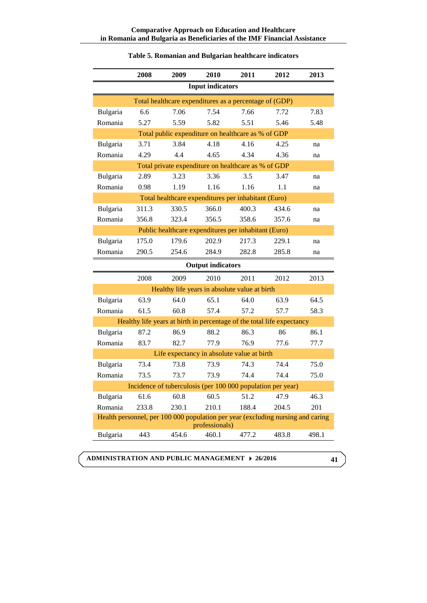|                                                             | 2008                                                                                              | 2009                                                                   | 2010                     | 2011  | 2012  | 2013  |  |
|-------------------------------------------------------------|---------------------------------------------------------------------------------------------------|------------------------------------------------------------------------|--------------------------|-------|-------|-------|--|
| <b>Input indicators</b>                                     |                                                                                                   |                                                                        |                          |       |       |       |  |
| Total healthcare expenditures as a percentage of (GDP)      |                                                                                                   |                                                                        |                          |       |       |       |  |
| Bulgaria                                                    | 6.6                                                                                               | 7.06                                                                   | 7.54                     | 7.66  | 7.72  | 7.83  |  |
| Romania                                                     | 5.27                                                                                              | 5.59                                                                   | 5.82                     | 5.51  | 5.46  | 5.48  |  |
|                                                             |                                                                                                   | Total public expenditure on healthcare as % of GDP                     |                          |       |       |       |  |
| Bulgaria                                                    | 3.71                                                                                              | 3.84                                                                   | 4.18                     | 4.16  | 4.25  | na    |  |
| Romania                                                     | 4.29                                                                                              | 4.4                                                                    | 4.65                     | 4.34  | 4.36  | na    |  |
|                                                             |                                                                                                   | Total private expenditure on healthcare as % of GDP                    |                          |       |       |       |  |
| Bulgaria                                                    | 2.89                                                                                              | 3.23                                                                   | 3.36                     | 3.5   | 3.47  | na    |  |
| Romania                                                     | 0.98                                                                                              | 1.19                                                                   | 1.16                     | 1.16  | 1.1   | na    |  |
|                                                             |                                                                                                   | Total healthcare expenditures per inhabitant (Euro)                    |                          |       |       |       |  |
| Bulgaria                                                    | 311.3                                                                                             | 330.5                                                                  | 366.0                    | 400.3 | 434.6 | na    |  |
| Romania                                                     | 356.8                                                                                             | 323.4                                                                  | 356.5                    | 358.6 | 357.6 | na    |  |
|                                                             |                                                                                                   | Public healthcare expenditures per inhabitant (Euro)                   |                          |       |       |       |  |
| Bulgaria                                                    | 175.0                                                                                             | 179.6                                                                  | 202.9                    | 217.3 | 229.1 | na    |  |
| Romania                                                     | 290.5                                                                                             | 254.6                                                                  | 284.9                    | 282.8 | 285.8 | na    |  |
|                                                             |                                                                                                   |                                                                        | <b>Output indicators</b> |       |       |       |  |
|                                                             | 2008                                                                                              | 2009                                                                   | 2010                     | 2011  | 2012  | 2013  |  |
|                                                             |                                                                                                   | Healthy life years in absolute value at birth                          |                          |       |       |       |  |
| Bulgaria                                                    | 63.9                                                                                              | 64.0                                                                   | 65.1                     | 64.0  | 63.9  | 64.5  |  |
| Romania                                                     | 61.5                                                                                              | 60.8                                                                   | 57.4                     | 57.2  | 57.7  | 58.3  |  |
|                                                             |                                                                                                   | Healthy life years at birth in percentage of the total life expectancy |                          |       |       |       |  |
| Bulgaria                                                    | 87.2                                                                                              | 86.9                                                                   | 88.2                     | 86.3  | 86    | 86.1  |  |
| Romania                                                     | 83.7                                                                                              | 82.7                                                                   | 77.9                     | 76.9  | 77.6  | 77.7  |  |
|                                                             |                                                                                                   | Life expectancy in absolute value at birth                             |                          |       |       |       |  |
| Bulgaria                                                    | 73.4                                                                                              | 73.8                                                                   | 73.9                     | 74.3  | 74.4  | 75.0  |  |
| Romania                                                     | 73.5                                                                                              | 73.7                                                                   | 73.9                     | 74.4  | 74.4  | 75.0  |  |
| Incidence of tuberculosis (per 100 000 population per year) |                                                                                                   |                                                                        |                          |       |       |       |  |
| Bulgaria                                                    | 61.6                                                                                              | 60.8                                                                   | 60.5                     | 51.2  | 47.9  | 46.3  |  |
| Romania                                                     | 233.8                                                                                             | 230.1                                                                  | 210.1                    | 188.4 | 204.5 | 201   |  |
|                                                             | Health personnel, per 100 000 population per year (excluding nursing and caring<br>professionals) |                                                                        |                          |       |       |       |  |
| Bulgaria                                                    | 443                                                                                               | 454.6                                                                  | 460.1                    | 477.2 | 483.8 | 498.1 |  |

## **Table 5. Romanian and Bulgarian healthcare indicators**

**ADMINISTRATION AND PUBLIC MANAGEMENT 26/2016**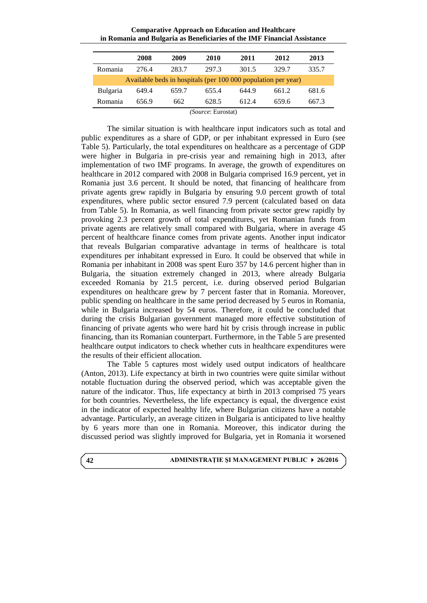**Comparative Approach on Education and Healthcare in Romania and Bulgaria as Beneficiaries of the IMF Financial Assistance**

|                 | 2008                                                          | 2009       | 2010     | 2011          | 2012  | 2013  |
|-----------------|---------------------------------------------------------------|------------|----------|---------------|-------|-------|
| Romania         | 276.4                                                         | 283.7      | 297.3    | 301.5         | 329.7 | 335.7 |
|                 | Available beds in hospitals (per 100 000 population per year) |            |          |               |       |       |
| <b>Bulgaria</b> | 649.4                                                         | 659.7      | 655.4    | 644.9         | 661.2 | 681.6 |
| Romania         | 656.9                                                         | 662        | 628.5    | 612.4         | 659.6 | 667.3 |
|                 |                                                               | $\sqrt{a}$ | <b>D</b> | $\sim$ $\sim$ |       |       |

*(Source*: Eurostat)

The similar situation is with healthcare input indicators such as total and public expenditures as a share of GDP, or per inhabitant expressed in Euro (see Table 5). Particularly, the total expenditures on healthcare as a percentage of GDP were higher in Bulgaria in pre-crisis year and remaining high in 2013, after implementation of two IMF programs. In average, the growth of expenditures on healthcare in 2012 compared with 2008 in Bulgaria comprised 16.9 percent, yet in Romania just 3.6 percent. It should be noted, that financing of healthcare from private agents grew rapidly in Bulgaria by ensuring 9.0 percent growth of total expenditures, where public sector ensured 7.9 percent (calculated based on data from Table 5). In Romania, as well financing from private sector grew rapidly by provoking 2.3 percent growth of total expenditures, yet Romanian funds from private agents are relatively small compared with Bulgaria, where in average 45 percent of healthcare finance comes from private agents. Another input indicator that reveals Bulgarian comparative advantage in terms of healthcare is total expenditures per inhabitant expressed in Euro. It could be observed that while in Romania per inhabitant in 2008 was spent Euro 357 by 14.6 percent higher than in Bulgaria, the situation extremely changed in 2013, where already Bulgaria exceeded Romania by 21.5 percent, i.e. during observed period Bulgarian expenditures on healthcare grew by 7 percent faster that in Romania. Moreover, public spending on healthcare in the same period decreased by 5 euros in Romania, while in Bulgaria increased by 54 euros. Therefore, it could be concluded that during the crisis Bulgarian government managed more effective substitution of financing of private agents who were hard hit by crisis through increase in public financing, than its Romanian counterpart. Furthermore, in the Table 5 are presented healthcare output indicators to check whether cuts in healthcare expenditures were the results of their efficient allocation.

The Table 5 captures most widely used output indicators of healthcare (Anton, 2013). Life expectancy at birth in two countries were quite similar without notable fluctuation during the observed period, which was acceptable given the nature of the indicator. Thus, life expectancy at birth in 2013 comprised 75 years for both countries. Nevertheless, the life expectancy is equal, the divergence exist in the indicator of expected healthy life, where Bulgarian citizens have a notable advantage. Particularly, an average citizen in Bulgaria is anticipated to live healthy by 6 years more than one in Romania. Moreover, this indicator during the discussed period was slightly improved for Bulgaria, yet in Romania it worsened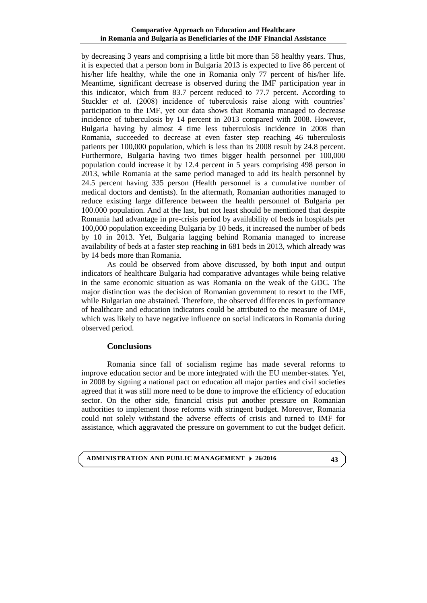by decreasing 3 years and comprising a little bit more than 58 healthy years. Thus, it is expected that a person born in Bulgaria 2013 is expected to live 86 percent of his/her life healthy, while the one in Romania only 77 percent of his/her life. Meantime, significant decrease is observed during the IMF participation year in this indicator, which from 83.7 percent reduced to 77.7 percent. According to Stuckler *et al.* (2008) incidence of tuberculosis raise along with countries' participation to the IMF, yet our data shows that Romania managed to decrease incidence of tuberculosis by 14 percent in 2013 compared with 2008. However, Bulgaria having by almost 4 time less tuberculosis incidence in 2008 than Romania, succeeded to decrease at even faster step reaching 46 tuberculosis patients per 100,000 population, which is less than its 2008 result by 24.8 percent. Furthermore, Bulgaria having two times bigger health personnel per 100,000 population could increase it by 12.4 percent in 5 years comprising 498 person in 2013, while Romania at the same period managed to add its health personnel by 24.5 percent having 335 person (Health personnel is a cumulative number of medical doctors and dentists). In the aftermath, Romanian authorities managed to reduce existing large difference between the health personnel of Bulgaria per 100.000 population. And at the last, but not least should be mentioned that despite Romania had advantage in pre-crisis period by availability of beds in hospitals per 100,000 population exceeding Bulgaria by 10 beds, it increased the number of beds by 10 in 2013. Yet, Bulgaria lagging behind Romania managed to increase availability of beds at a faster step reaching in 681 beds in 2013, which already was by 14 beds more than Romania.

As could be observed from above discussed, by both input and output indicators of healthcare Bulgaria had comparative advantages while being relative in the same economic situation as was Romania on the weak of the GDC. The major distinction was the decision of Romanian government to resort to the IMF, while Bulgarian one abstained. Therefore, the observed differences in performance of healthcare and education indicators could be attributed to the measure of IMF, which was likely to have negative influence on social indicators in Romania during observed period.

# **Conclusions**

Romania since fall of socialism regime has made several reforms to improve education sector and be more integrated with the EU member-states. Yet, in 2008 by signing a national pact on education all major parties and civil societies agreed that it was still more need to be done to improve the efficiency of education sector. On the other side, financial crisis put another pressure on Romanian authorities to implement those reforms with stringent budget. Moreover, Romania could not solely withstand the adverse effects of crisis and turned to IMF for assistance, which aggravated the pressure on government to cut the budget deficit.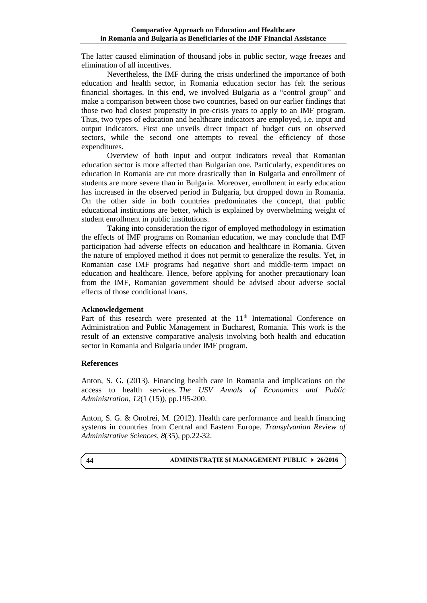The latter caused elimination of thousand jobs in public sector, wage freezes and elimination of all incentives.

Nevertheless, the IMF during the crisis underlined the importance of both education and health sector, in Romania education sector has felt the serious financial shortages. In this end, we involved Bulgaria as a "control group" and make a comparison between those two countries, based on our earlier findings that those two had closest propensity in pre-crisis years to apply to an IMF program. Thus, two types of education and healthcare indicators are employed, i.e. input and output indicators. First one unveils direct impact of budget cuts on observed sectors, while the second one attempts to reveal the efficiency of those expenditures.

Overview of both input and output indicators reveal that Romanian education sector is more affected than Bulgarian one. Particularly, expenditures on education in Romania are cut more drastically than in Bulgaria and enrollment of students are more severe than in Bulgaria. Moreover, enrollment in early education has increased in the observed period in Bulgaria, but dropped down in Romania. On the other side in both countries predominates the concept, that public educational institutions are better, which is explained by overwhelming weight of student enrollment in public institutions.

Taking into consideration the rigor of employed methodology in estimation the effects of IMF programs on Romanian education, we may conclude that IMF participation had adverse effects on education and healthcare in Romania. Given the nature of employed method it does not permit to generalize the results. Yet, in Romanian case IMF programs had negative short and middle-term impact on education and healthcare. Hence, before applying for another precautionary loan from the IMF, Romanian government should be advised about adverse social effects of those conditional loans.

### **Acknowledgement**

Part of this research were presented at the 11<sup>th</sup> International Conference on Administration and Public Management in Bucharest, Romania. This work is the result of an extensive comparative analysis involving both health and education sector in Romania and Bulgaria under IMF program.

# **References**

Anton, S. G. (2013). Financing health care in Romania and implications on the access to health services. *The USV Annals of Economics and Public Administration*, *12*(1 (15)), pp.195-200.

Anton, S. G. & Onofrei, M. (2012). Health care performance and health financing systems in countries from Central and Eastern Europe. *Transylvanian Review of Administrative Sciences*, *8*(35), pp.22-32.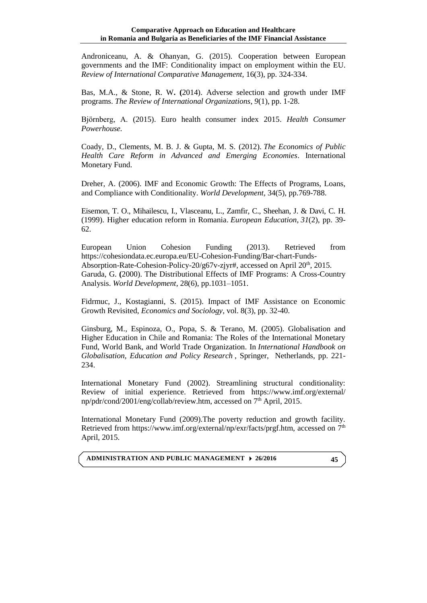Androniceanu, A. & Ohanyan, G. (2015). Cooperation between European governments and the IMF: Conditionality impact on employment within the EU. *Review of International Comparative Management,* 16(3), pp. 324-334.

Bas, M.A., & Stone, R. W**. (**2014). Adverse selection and growth under IMF programs. *The Review of International Organizations*, *9*(1), pp. 1-28.

Björnberg, A. (2015). Euro health consumer index 2015. *Health Consumer Powerhouse.*

Coady, D., Clements, M. B. J. & Gupta, M. S. (2012). *The Economics of Public Health Care Reform in Advanced and Emerging Economies*. International Monetary Fund.

Dreher, A. (2006). IMF and Economic Growth: The Effects of Programs, Loans, and Compliance with Conditionality. *World Development,* 34(5), pp.769-788.

Eisemon, T. O., Mihailescu, I., Vlasceanu, L., Zamfir, C., Sheehan, J. & Davi, C. H. (1999). Higher education reform in Romania. *European Education*, *31*(2), pp. 39- 62.

European Union Cohesion Funding (2013). Retrieved from [https://cohesiondata.ec.europa.eu/EU-Cohesion-Funding/Bar-chart-Funds-](https://cohesiondata.ec.europa.eu/EU-Cohesion-Funding/Bar-chart-Funds-Absorption-Rate-Cohesion-Policy-20/g67v-zjyr)[Absorption-Rate-Cohesion-Policy-20/g67v-zjyr#,](https://cohesiondata.ec.europa.eu/EU-Cohesion-Funding/Bar-chart-Funds-Absorption-Rate-Cohesion-Policy-20/g67v-zjyr) accessed on April 20<sup>th</sup>, 2015. Garuda, G. **(**2000). The Distributional Effects of IMF Programs: A Cross-Country Analysis. *World Development,* 28(6), pp.1031–1051.

Fidrmuc, J., Kostagianni, S. (2015). Impact of IMF Assistance on Economic Growth Revisited, *Economics and Sociology*, vol. 8(3), pp. 32-40.

Ginsburg, M., Espinoza, O., Popa, S. & Terano, M. (2005). Globalisation and Higher Education in Chile and Romania: The Roles of the International Monetary Fund, World Bank, and World Trade Organization. In *International Handbook on Globalisation, Education and Policy Research* , Springer, Netherlands, pp. 221- 234.

International Monetary Fund (2002). Streamlining structural conditionality: Review of initial experience. Retrieved from <https://www.imf.org/external/> np/pdr/cond/2001/eng/collab/review.htm, accessed on 7<sup>th</sup> April, 2015.

International Monetary Fund (2009).The poverty reduction and growth facility. Retrieved from [https://www.imf.org/external/np/exr/facts/prgf.htm,](https://www.imf.org/external/np/exr/facts/prgf.htm) accessed on 7<sup>th</sup> April, 2015.

**ADMINISTRATION AND PUBLIC MANAGEMENT 26/2016**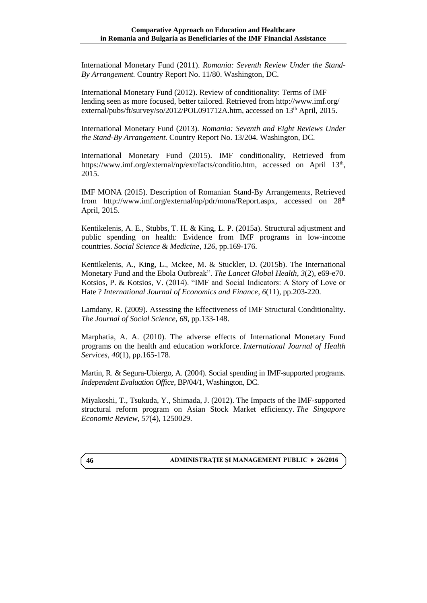International Monetary Fund (2011). *Romania: Seventh Review Under the Stand-By Arrangement.* Country Report No. 11/80. Washington, DC.

International Monetary Fund (2012). Review of conditionality: Terms of IMF lending seen as more focused, better tailored. Retrieved from http://www.imf.org/ external/pubs/ft/survey/so/2012/POL091712A.htm, accessed on  $13<sup>th</sup>$  April, 2015.

International Monetary Fund (2013). *Romania: Seventh and Eight Reviews Under the Stand-By Arrangement.* Country Report No. 13/204. Washington, DC.

International Monetary Fund (2015). IMF conditionality, Retrieved from https://www.imf.org/external/np/exr/facts/conditio.htm, accessed on April 13<sup>th</sup>, 2015.

IMF MONA (2015). Description of Romanian Stand-By Arrangements, Retrieved from [http://www.imf.org/external/np/pdr/mona/Report.aspx,](http://www.imf.org/external/np/pdr/mona/Report.aspx) accessed on  $28<sup>th</sup>$ April, 2015.

Kentikelenis, A. E., Stubbs, T. H. & King, L. P. (2015a). Structural adjustment and public spending on health: Evidence from IMF programs in low-income countries. *Social Science & Medicine*, *126*, pp.169-176.

Kentikelenis, A., King, L., Mckee, M. & Stuckler, D. (2015b). The International Monetary Fund and the Ebola Outbreak". *The Lancet Global Health*, *3*(2), e69-e70. Kotsios, P. & Kotsios, V. (2014). "IMF and Social Indicators: A Story of Love or Hate ? *International Journal of Economics and Finance*, *6*(11), pp.203-220.

Lamdany, R. (2009). Assessing the Effectiveness of IMF Structural Conditionality. *The Journal of Social Science*, *68*, pp.133-148.

Marphatia, A. A. (2010). The adverse effects of International Monetary Fund programs on the health and education workforce. *International Journal of Health Services*, *40*(1), pp.165-178.

Martin, R. & Segura-Ubiergo, A. (2004). Social spending in IMF-supported programs. *Independent Evaluation Office*, BP/04/1, Washington, DC.

Miyakoshi, T., Tsukuda, Y., Shimada, J. (2012). The Impacts of the IMF-supported structural reform program on Asian Stock Market efficiency. *The Singapore Economic Review*, *57*(4), 1250029.

# **ADMINISTRAŢIE ŞI MANAGEMENT PUBLIC 26/2016**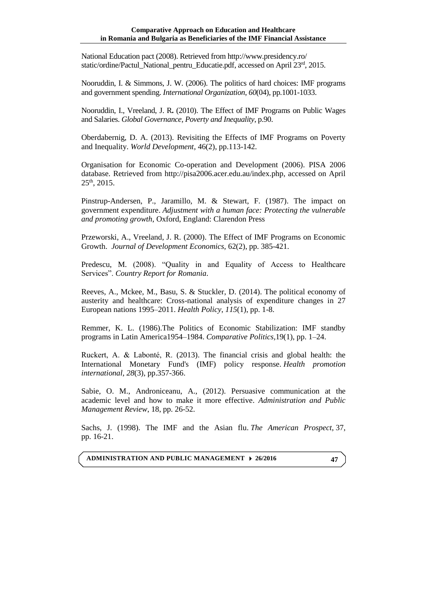National Education pact (2008). Retrieved fro[m http://www.presidency.ro/](http://www.presidency.ro/%20static/ordine/Pactul_National_pentru_Educatie.pdf)  [static/ordine/Pactul\\_National\\_pentru\\_Educatie.pdf,](http://www.presidency.ro/%20static/ordine/Pactul_National_pentru_Educatie.pdf) accessed on April 23<sup>rd</sup>, 2015.

Nooruddin, I. & Simmons, J. W. (2006). The politics of hard choices: IMF programs and government spending. *International Organization*, *60*(04), pp.1001-1033.

Nooruddin, I., Vreeland, J. R**.** (2010). The Effect of IMF Programs on Public Wages and Salaries. *Global Governance, Poverty and Inequality*, p.90.

Oberdabernig, D. A. (2013). Revisiting the Effects of IMF Programs on Poverty and Inequality. *World Development,* 46(2), pp.113-142.

Organisation for Economic Co-operation and Development (2006). PISA 2006 database. Retrieved from [http://pisa2006.acer.edu.au/index.php,](http://pisa2006.acer.edu.au/index.php) accessed on April 25th, 2015.

Pinstrup-Andersen, P., Jaramillo, M. & Stewart, F. (1987). The impact on government expenditure. *Adjustment with a human face: Protecting the vulnerable and promoting growth*, Oxford, England: Clarendon Press

Przeworski, A., Vreeland, J. R. (2000). The Effect of IMF Programs on Economic Growth. *Journal of Development Economics,* 62(2), pp. 385-421.

Predescu, M. (2008). "Quality in and Equality of Access to Healthcare Services". *Country Report for Romania*.

Reeves, A., Mckee, M., Basu, S. & Stuckler, D. (2014). The political economy of austerity and healthcare: Cross-national analysis of expenditure changes in 27 European nations 1995–2011. *Health Policy*, *115*(1), pp. 1-8.

Remmer, K. L. (1986).The Politics of Economic Stabilization: IMF standby programs in Latin America1954–1984. *Comparative Politics,*19(1), pp. 1–24.

Ruckert, A. & Labonté, R. (2013). The financial crisis and global health: the International Monetary Fund's (IMF) policy response. *Health promotion international*, *28*(3), pp.357-366.

Sabie, O. M., Androniceanu, A., (2012). Persuasive communication at the academic level and how to make it more effective. *Administration and Public Management Review*, 18, pp. 26-52.

Sachs, J. (1998). The IMF and the Asian flu. *The American Prospect*, 37, pp. 16-21.

**ADMINISTRATION AND PUBLIC MANAGEMENT 26/2016**